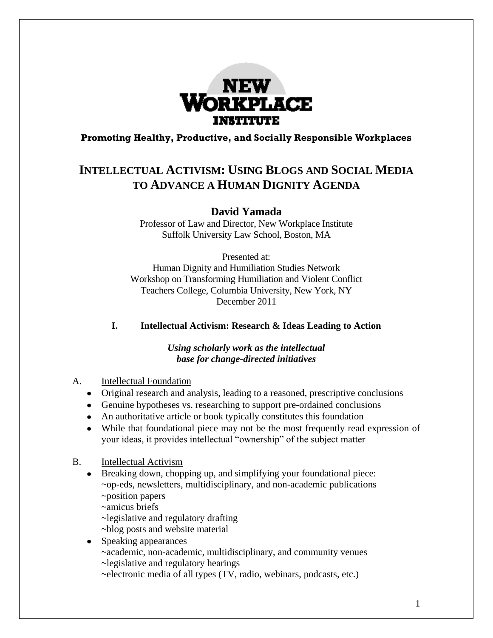

### **Promoting Healthy, Productive, and Socially Responsible Workplaces**

# **INTELLECTUAL ACTIVISM: USING BLOGS AND SOCIAL MEDIA TO ADVANCE A HUMAN DIGNITY AGENDA**

**David Yamada**

Professor of Law and Director, New Workplace Institute Suffolk University Law School, Boston, MA

Presented at: Human Dignity and Humiliation Studies Network Workshop on Transforming Humiliation and Violent Conflict Teachers College, Columbia University, New York, NY December 2011

**I. Intellectual Activism: Research & Ideas Leading to Action**

*Using scholarly work as the intellectual base for change-directed initiatives*

- A. Intellectual Foundation
	- Original research and analysis, leading to a reasoned, prescriptive conclusions
	- Genuine hypotheses vs. researching to support pre-ordained conclusions
	- An authoritative article or book typically constitutes this foundation
	- While that foundational piece may not be the most frequently read expression of your ideas, it provides intellectual "ownership" of the subject matter
- B. Intellectual Activism
	- Breaking down, chopping up, and simplifying your foundational piece: ~op-eds, newsletters, multidisciplinary, and non-academic publications ~position papers

~amicus briefs

~legislative and regulatory drafting

- ~blog posts and website material
- Speaking appearances

~academic, non-academic, multidisciplinary, and community venues ~legislative and regulatory hearings

~electronic media of all types (TV, radio, webinars, podcasts, etc.)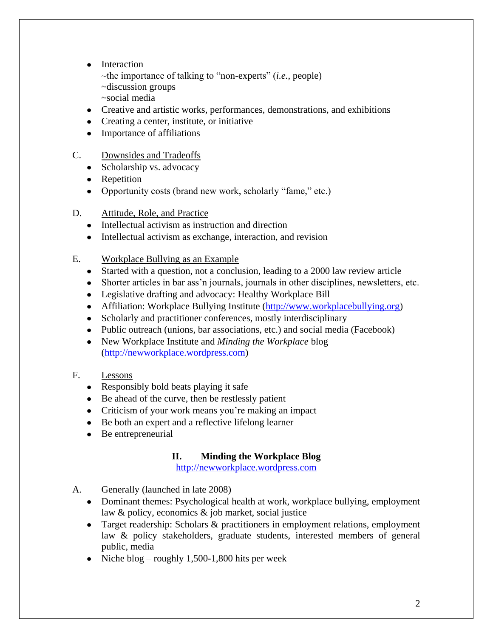- Interaction
	- ~the importance of talking to "non-experts" (*i.e.*, people) ~discussion groups
	- ~social media
- Creative and artistic works, performances, demonstrations, and exhibitions
- Creating a center, institute, or initiative
- Importance of affiliations
- C. Downsides and Tradeoffs
	- Scholarship vs. advocacy
	- Repetition
	- Opportunity costs (brand new work, scholarly "fame," etc.)
- D. Attitude, Role, and Practice
	- Intellectual activism as instruction and direction
	- Intellectual activism as exchange, interaction, and revision
- E. Workplace Bullying as an Example
	- Started with a question, not a conclusion, leading to a 2000 law review article
	- Shorter articles in bar ass'n journals, journals in other disciplines, newsletters, etc.
	- Legislative drafting and advocacy: Healthy Workplace Bill
	- Affiliation: Workplace Bullying Institute [\(http://www.workplacebullying.org\)](http://www.workplacebullying.org/)
	- Scholarly and practitioner conferences, mostly interdisciplinary
	- Public outreach (unions, bar associations, etc.) and social media (Facebook)
	- New Workplace Institute and *Minding the Workplace* blog [\(http://newworkplace.wordpress.com\)](http://newworkplace.wordpress.com/)
- F. Lessons
	- Responsibly bold beats playing it safe
	- Be ahead of the curve, then be restlessly patient
	- Criticism of your work means you're making an impact
	- Be both an expert and a reflective lifelong learner
	- Be entrepreneurial

## **II. Minding the Workplace Blog**

[http://newworkplace.wordpress.com](http://newworkplace.wordpress.com/)

- A. Generally (launched in late 2008)
	- Dominant themes: Psychological health at work, workplace bullying, employment law & policy, economics & job market, social justice
	- Target readership: Scholars & practitioners in employment relations, employment law & policy stakeholders, graduate students, interested members of general public, media
	- Niche blog roughly 1,500-1,800 hits per week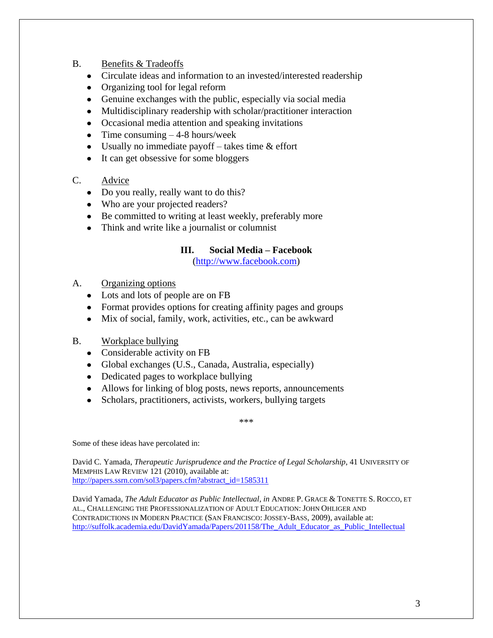### B. Benefits & Tradeoffs

- Circulate ideas and information to an invested/interested readership
- Organizing tool for legal reform
- Genuine exchanges with the public, especially via social media
- Multidisciplinary readership with scholar/practitioner interaction
- Occasional media attention and speaking invitations
- Time consuming  $-4-8$  hours/week
- Usually no immediate payoff  $-$  takes time  $\&$  effort
- It can get obsessive for some bloggers

### C. Advice

- Do you really, really want to do this?
- Who are your projected readers?
- Be committed to writing at least weekly, preferably more
- Think and write like a journalist or columnist

### **III. Social Media – Facebook**

[\(http://www.facebook.com\)](http://www.facebook.com/)

- A. Organizing options
	- Lots and lots of people are on FB
	- Format provides options for creating affinity pages and groups
	- Mix of social, family, work, activities, etc., can be awkward
- B. Workplace bullying
	- Considerable activity on FB
	- Global exchanges (U.S., Canada, Australia, especially)
	- Dedicated pages to workplace bullying
	- Allows for linking of blog posts, news reports, announcements
	- Scholars, practitioners, activists, workers, bullying targets

\*\*\*

Some of these ideas have percolated in:

David C. Yamada, *Therapeutic Jurisprudence and the Practice of Legal Scholarship*, 41 UNIVERSITY OF MEMPHIS LAW REVIEW 121 (2010), available at: [http://papers.ssrn.com/sol3/papers.cfm?abstract\\_id=1585311](http://papers.ssrn.com/sol3/papers.cfm?abstract_id=1585311)

David Yamada, *The Adult Educator as Public Intellectual*, *in* ANDRE P. GRACE & TONETTE S. ROCCO, ET AL., CHALLENGING THE PROFESSIONALIZATION OF ADULT EDUCATION: JOHN OHLIGER AND CONTRADICTIONS IN MODERN PRACTICE (SAN FRANCISCO: JOSSEY-BASS, 2009), available at: [http://suffolk.academia.edu/DavidYamada/Papers/201158/The\\_Adult\\_Educator\\_as\\_Public\\_Intellectual](http://suffolk.academia.edu/DavidYamada/Papers/201158/The_Adult_Educator_as_Public_Intellectual)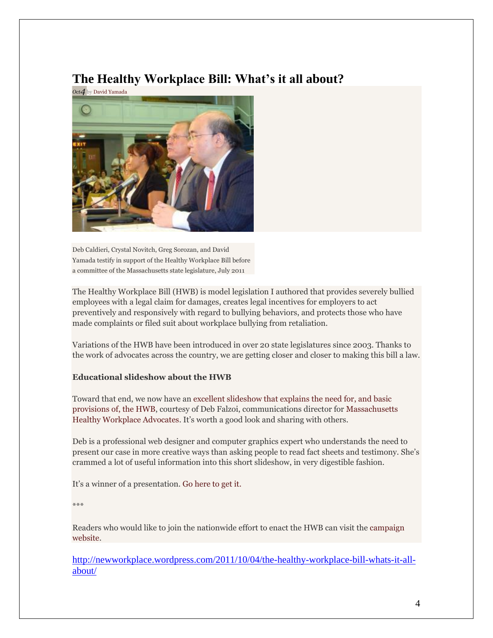# **The Healthy Workplace Bill: What's it all about?**



Deb Caldieri, Crystal Novitch, Greg Sorozan, and David Yamada testify in support of the Healthy Workplace Bill before a committee of the Massachusetts state legislature, July 2011

The Healthy Workplace Bill (HWB) is model legislation I authored that provides severely bullied employees with a legal claim for damages, creates legal incentives for employers to act preventively and responsively with regard to bullying behaviors, and protects those who have made complaints or filed suit about workplace bullying from retaliation.

Variations of the HWB have been introduced in over 20 state legislatures since 2003. Thanks to the work of advocates across the country, we are getting closer and closer to making this bill a law.

### **Educational slideshow about the HWB**

Toward that end, we now have an [excellent slideshow that explains the need for, and basic](http://prezi.com/i1h9lcalopsx/healthy-workplace-bill/)  [provisions of, the HWB,](http://prezi.com/i1h9lcalopsx/healthy-workplace-bill/) courtesy of Deb Falzoi, communications director for [Massachusetts](http://mahealthyworkplace.com/)  [Healthy Workplace Advocates.](http://mahealthyworkplace.com/) It's worth a good look and sharing with others.

Deb is a professional web designer and computer graphics expert who understands the need to present our case in more creative ways than asking people to read fact sheets and testimony. She's crammed a lot of useful information into this short slideshow, in very digestible fashion.

It's a winner of a presentation[. Go here to get it.](http://prezi.com/i1h9lcalopsx/healthy-workplace-bill/)

\*\*\*

Readers who would like to join the nationwide effort to enact the HWB can visit the [campaign](http://www.healthyworkplacebill.org/)  [website.](http://www.healthyworkplacebill.org/)

[http://newworkplace.wordpress.com/2011/10/04/the-healthy-workplace-bill-whats-it-all](http://newworkplace.wordpress.com/2011/10/04/the-healthy-workplace-bill-whats-it-all-about/)[about/](http://newworkplace.wordpress.com/2011/10/04/the-healthy-workplace-bill-whats-it-all-about/)